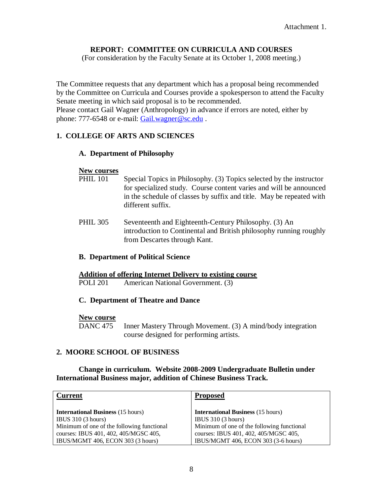## **REPORT: COMMITTEE ON CURRICULA AND COURSES**

(For consideration by the Faculty Senate at its October 1, 2008 meeting.)

The Committee requests that any department which has a proposal being recommended by the Committee on Curricula and Courses provide a spokesperson to attend the Faculty Senate meeting in which said proposal is to be recommended.

Please contact Gail Wagner (Anthropology) in advance if errors are noted, either by phone: 777-6548 or e-mail: [Gail.wagner@sc.edu](mailto:Gail.wagner@sc.edu).

## **1. COLLEGE OF ARTS AND SCIENCES**

#### **A. Department of Philosophy**

#### **New courses**

- PHIL 101 Special Topics in Philosophy. (3) Topics selected by the instructor for specialized study. Course content varies and will be announced in the schedule of classes by suffix and title. May be repeated with different suffix.
- PHIL 305 Seventeenth and Eighteenth-Century Philosophy. (3) An introduction to Continental and British philosophy running roughly from Descartes through Kant.

#### **B. Department of Political Science**

#### **Addition of offering Internet Delivery to existing course**

POLI 201 American National Government. (3)

#### **C. Department of Theatre and Dance**

#### **New course**

DANC 475 Inner Mastery Through Movement. (3) A mind/body integration course designed for performing artists.

## **2. MOORE SCHOOL OF BUSINESS**

#### **Change in curriculum. Website 2008-2009 Undergraduate Bulletin under International Business major, addition of Chinese Business Track.**

| <b>Current</b>                                                                      | <b>Proposed</b>                                                                     |
|-------------------------------------------------------------------------------------|-------------------------------------------------------------------------------------|
| <b>International Business</b> (15 hours)                                            | <b>International Business</b> (15 hours)                                            |
| IBUS $310(3 \text{ hours})$                                                         | IBUS $310(3 \text{ hours})$                                                         |
| Minimum of one of the following functional<br>courses: IBUS 401, 402, 405/MGSC 405, | Minimum of one of the following functional<br>courses: IBUS 401, 402, 405/MGSC 405, |
| IBUS/MGMT 406, ECON 303 (3 hours)                                                   | IBUS/MGMT 406, ECON 303 (3-6 hours)                                                 |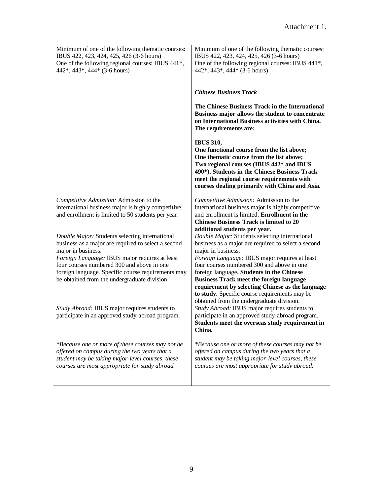| Minimum of one of the following thematic courses:<br>IBUS 422, 423, 424, 425, 426 (3-6 hours)<br>One of the following regional courses: IBUS 441 <sup>*</sup> ,<br>442*, 443*, 444* (3-6 hours)                                                                                                                                   | Minimum of one of the following thematic courses:<br>IBUS 422, 423, 424, 425, 426 (3-6 hours)<br>One of the following regional courses: IBUS 441*,<br>442*, 443*, 444* (3-6 hours)                                                                                                                                                                                                                                               |
|-----------------------------------------------------------------------------------------------------------------------------------------------------------------------------------------------------------------------------------------------------------------------------------------------------------------------------------|----------------------------------------------------------------------------------------------------------------------------------------------------------------------------------------------------------------------------------------------------------------------------------------------------------------------------------------------------------------------------------------------------------------------------------|
|                                                                                                                                                                                                                                                                                                                                   | <b>Chinese Business Track</b>                                                                                                                                                                                                                                                                                                                                                                                                    |
|                                                                                                                                                                                                                                                                                                                                   | The Chinese Business Track in the International<br>Business major allows the student to concentrate<br>on International Business activities with China.<br>The requirements are:                                                                                                                                                                                                                                                 |
|                                                                                                                                                                                                                                                                                                                                   | <b>IBUS 310,</b><br>One functional course from the list above;<br>One thematic course from the list above;<br>Two regional courses (IBUS 442* and IBUS<br>490*). Students in the Chinese Business Track<br>meet the regional course requirements with<br>courses dealing primarily with China and Asia.                                                                                                                          |
| Competitive Admission: Admission to the<br>international business major is highly competitive,<br>and enrollment is limited to 50 students per year.                                                                                                                                                                              | Competitive Admission: Admission to the<br>international business major is highly competitive<br>and enrollment is limited. Enrollment in the<br><b>Chinese Business Track is limited to 20</b><br>additional students per year.                                                                                                                                                                                                 |
| Double Major: Students selecting international<br>business as a major are required to select a second<br>major in business.<br>Foreign Language: IBUS major requires at least<br>four courses numbered 300 and above in one<br>foreign language. Specific course requirements may<br>be obtained from the undergraduate division. | Double Major: Students selecting international<br>business as a major are required to select a second<br>major in business.<br>Foreign Language: IBUS major requires at least<br>four courses numbered 300 and above in one<br>foreign language. Students in the Chinese<br><b>Business Track meet the foreign language</b><br>requirement by selecting Chinese as the language<br>to study. Specific course requirements may be |
| Study Abroad: IBUS major requires students to<br>participate in an approved study-abroad program.                                                                                                                                                                                                                                 | obtained from the undergraduate division.<br>Study Abroad: IBUS major requires students to<br>participate in an approved study-abroad program.<br>Students meet the overseas study requirement in<br>China.                                                                                                                                                                                                                      |
| *Because one or more of these courses may not be<br>offered on campus during the two years that a<br>student may be taking major-level courses, these<br>courses are most appropriate for study abroad.                                                                                                                           | *Because one or more of these courses may not be<br>offered on campus during the two years that a<br>student may be taking major-level courses, these<br>courses are most appropriate for study abroad.                                                                                                                                                                                                                          |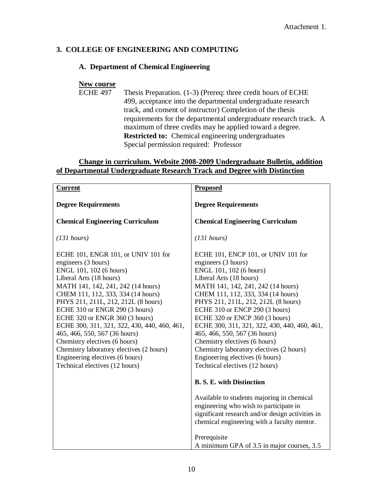## **3. COLLEGE OF ENGINEERING AND COMPUTING**

## **A. Department of Chemical Engineering**

# **New course**<br>**ECHE 497**

Thesis Preparation. (1-3) (Prereq: three credit hours of ECHE 499, acceptance into the departmental undergraduate research track, and consent of instructor) Completion of the thesis requirements for the departmental undergraduate research track. A maximum of three credits may be applied toward a degree. **Restricted to:** Chemical engineering undergraduates Special permission required: Professor

## **Change in curriculum. Website 2008-2009 Undergraduate Bulletin, addition of Departmental Undergraduate Research Track and Degree with Distinction**

| <b>Proposed</b>                                                                                                                                                                                                                                                                                                                                                                                                                                                                                                                            |
|--------------------------------------------------------------------------------------------------------------------------------------------------------------------------------------------------------------------------------------------------------------------------------------------------------------------------------------------------------------------------------------------------------------------------------------------------------------------------------------------------------------------------------------------|
| <b>Degree Requirements</b>                                                                                                                                                                                                                                                                                                                                                                                                                                                                                                                 |
| <b>Chemical Engineering Curriculum</b>                                                                                                                                                                                                                                                                                                                                                                                                                                                                                                     |
| (131 hours)                                                                                                                                                                                                                                                                                                                                                                                                                                                                                                                                |
| ECHE 101, ENCP 101, or UNIV 101 for<br>engineers (3 hours)<br>ENGL 101, 102 (6 hours)<br>Liberal Arts (18 hours)<br>MATH 141, 142, 241, 242 (14 hours)<br>CHEM 111, 112, 333, 334 (14 hours)<br>PHYS 211, 211L, 212, 212L (8 hours)<br>ECHE 310 or ENCP 290 (3 hours)<br>ECHE 320 or ENCP 360 (3 hours)<br>ECHE 300, 311, 321, 322, 430, 440, 460, 461,<br>465, 466, 550, 567 (36 hours)<br>Chemistry electives (6 hours)<br>Chemistry laboratory electives (2 hours)<br>Engineering electives (6 hours)<br>Technical electives (12 hours) |
| <b>B. S. E. with Distinction</b>                                                                                                                                                                                                                                                                                                                                                                                                                                                                                                           |
| Available to students majoring in chemical<br>engineering who wish to participate in<br>significant research and/or design activities in<br>chemical engineering with a faculty mentor.<br>Prerequisite<br>A minimum GPA of 3.5 in major courses, 3.5                                                                                                                                                                                                                                                                                      |
|                                                                                                                                                                                                                                                                                                                                                                                                                                                                                                                                            |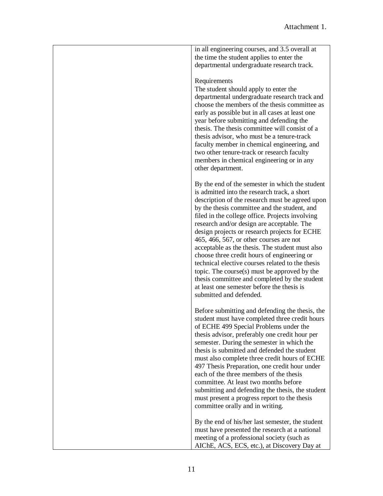| in all engineering courses, and 3.5 overall at<br>the time the student applies to enter the<br>departmental undergraduate research track.                                                                                                                                                                                                                                                                                                                                                                                                                                                                                                                                                                                         |
|-----------------------------------------------------------------------------------------------------------------------------------------------------------------------------------------------------------------------------------------------------------------------------------------------------------------------------------------------------------------------------------------------------------------------------------------------------------------------------------------------------------------------------------------------------------------------------------------------------------------------------------------------------------------------------------------------------------------------------------|
| Requirements<br>The student should apply to enter the<br>departmental undergraduate research track and<br>choose the members of the thesis committee as<br>early as possible but in all cases at least one<br>year before submitting and defending the<br>thesis. The thesis committee will consist of a<br>thesis advisor, who must be a tenure-track<br>faculty member in chemical engineering, and<br>two other tenure-track or research faculty<br>members in chemical engineering or in any<br>other department.                                                                                                                                                                                                             |
| By the end of the semester in which the student<br>is admitted into the research track, a short<br>description of the research must be agreed upon<br>by the thesis committee and the student, and<br>filed in the college office. Projects involving<br>research and/or design are acceptable. The<br>design projects or research projects for ECHE<br>$465, 466, 567,$ or other courses are not<br>acceptable as the thesis. The student must also<br>choose three credit hours of engineering or<br>technical elective courses related to the thesis<br>topic. The course(s) must be approved by the<br>thesis committee and completed by the student<br>at least one semester before the thesis is<br>submitted and defended. |
| Before submitting and defending the thesis, the<br>student must have completed three credit hours<br>of ECHE 499 Special Problems under the<br>thesis advisor, preferably one credit hour per<br>semester. During the semester in which the<br>thesis is submitted and defended the student<br>must also complete three credit hours of ECHE<br>497 Thesis Preparation, one credit hour under<br>each of the three members of the thesis<br>committee. At least two months before<br>submitting and defending the thesis, the student<br>must present a progress report to the thesis<br>committee orally and in writing.                                                                                                         |
| By the end of his/her last semester, the student<br>must have presented the research at a national<br>meeting of a professional society (such as<br>AIChE, ACS, ECS, etc.), at Discovery Day at                                                                                                                                                                                                                                                                                                                                                                                                                                                                                                                                   |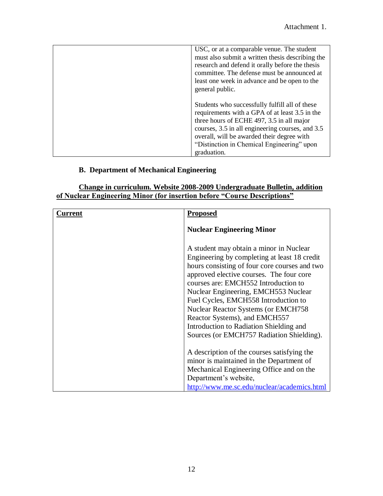| USC, or at a comparable venue. The student<br>must also submit a written thesis describing the<br>research and defend it orally before the thesis<br>committee. The defense must be announced at<br>least one week in advance and be open to the<br>general public.                                          |
|--------------------------------------------------------------------------------------------------------------------------------------------------------------------------------------------------------------------------------------------------------------------------------------------------------------|
| Students who successfully fulfill all of these<br>requirements with a GPA of at least 3.5 in the<br>three hours of ECHE 497, 3.5 in all major<br>courses, 3.5 in all engineering courses, and 3.5<br>overall, will be awarded their degree with<br>"Distinction in Chemical Engineering" upon<br>graduation. |

# **B. Department of Mechanical Engineering**

### **Change in curriculum. Website 2008-2009 Undergraduate Bulletin, addition of Nuclear Engineering Minor (for insertion before "Course Descriptions"**

| <b>\urrent</b> | <b>Proposed</b>                                                                                                                                                                                                                                                                                                                                                                                                                                                                      |
|----------------|--------------------------------------------------------------------------------------------------------------------------------------------------------------------------------------------------------------------------------------------------------------------------------------------------------------------------------------------------------------------------------------------------------------------------------------------------------------------------------------|
|                | <b>Nuclear Engineering Minor</b>                                                                                                                                                                                                                                                                                                                                                                                                                                                     |
|                | A student may obtain a minor in Nuclear<br>Engineering by completing at least 18 credit<br>hours consisting of four core courses and two<br>approved elective courses. The four core<br>courses are: EMCH552 Introduction to<br>Nuclear Engineering, EMCH553 Nuclear<br>Fuel Cycles, EMCH558 Introduction to<br><b>Nuclear Reactor Systems (or EMCH758)</b><br>Reactor Systems), and EMCH557<br>Introduction to Radiation Shielding and<br>Sources (or EMCH757 Radiation Shielding). |
|                | A description of the courses satisfying the<br>minor is maintained in the Department of<br>Mechanical Engineering Office and on the<br>Department's website,<br>http://www.me.sc.edu/nuclear/academics.html                                                                                                                                                                                                                                                                          |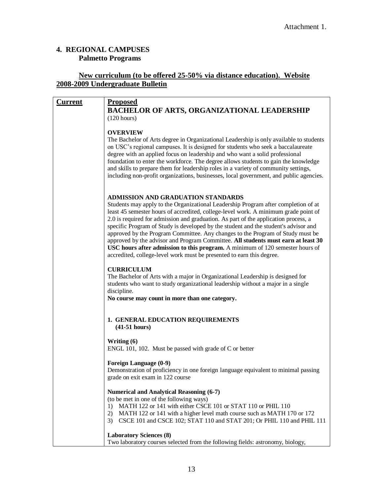# **4. REGIONAL CAMPUSES Palmetto Programs**

## **New curriculum (to be offered 25-50% via distance education). Website 2008-2009 Undergraduate Bulletin**

| <u>Current</u> | <b>Proposed</b>                                                                                                                                                            |
|----------------|----------------------------------------------------------------------------------------------------------------------------------------------------------------------------|
|                | <b>BACHELOR OF ARTS, ORGANIZATIONAL LEADERSHIP</b>                                                                                                                         |
|                | (120 hours)                                                                                                                                                                |
|                |                                                                                                                                                                            |
|                | <b>OVERVIEW</b>                                                                                                                                                            |
|                | The Bachelor of Arts degree in Organizational Leadership is only available to students                                                                                     |
|                | on USC's regional campuses. It is designed for students who seek a baccalaureate                                                                                           |
|                | degree with an applied focus on leadership and who want a solid professional<br>foundation to enter the workforce. The degree allows students to gain the knowledge        |
|                | and skills to prepare them for leadership roles in a variety of community settings,                                                                                        |
|                | including non-profit organizations, businesses, local government, and public agencies.                                                                                     |
|                |                                                                                                                                                                            |
|                |                                                                                                                                                                            |
|                | ADMISSION AND GRADUATION STANDARDS                                                                                                                                         |
|                | Students may apply to the Organizational Leadership Program after completion of at                                                                                         |
|                | least 45 semester hours of accredited, college-level work. A minimum grade point of<br>2.0 is required for admission and graduation. As part of the application process, a |
|                | specific Program of Study is developed by the student and the student's advisor and                                                                                        |
|                | approved by the Program Committee. Any changes to the Program of Study must be                                                                                             |
|                | approved by the advisor and Program Committee. All students must earn at least 30                                                                                          |
|                | USC hours after admission to this program. A minimum of 120 semester hours of                                                                                              |
|                | accredited, college-level work must be presented to earn this degree.                                                                                                      |
|                |                                                                                                                                                                            |
|                | <b>CURRICULUM</b><br>The Bachelor of Arts with a major in Organizational Leadership is designed for                                                                        |
|                | students who want to study organizational leadership without a major in a single                                                                                           |
|                | discipline.                                                                                                                                                                |
|                | No course may count in more than one category.                                                                                                                             |
|                |                                                                                                                                                                            |
|                | 1. GENERAL EDUCATION REQUIREMENTS                                                                                                                                          |
|                | $(41-51 hours)$                                                                                                                                                            |
|                |                                                                                                                                                                            |
|                | Writing $(6)$                                                                                                                                                              |
|                | ENGL 101, 102. Must be passed with grade of C or better                                                                                                                    |
|                | Foreign Language (0-9)                                                                                                                                                     |
|                | Demonstration of proficiency in one foreign language equivalent to minimal passing                                                                                         |
|                | grade on exit exam in 122 course                                                                                                                                           |
|                |                                                                                                                                                                            |
|                | <b>Numerical and Analytical Reasoning (6-7)</b>                                                                                                                            |
|                | (to be met in one of the following ways)                                                                                                                                   |
|                | MATH 122 or 141 with either CSCE 101 or STAT 110 or PHIL 110<br>1)<br>MATH 122 or 141 with a higher level math course such as MATH 170 or 172<br>2)                        |
|                | 3) CSCE 101 and CSCE 102; STAT 110 and STAT 201; Or PHIL 110 and PHIL 111                                                                                                  |
|                |                                                                                                                                                                            |
|                | <b>Laboratory Sciences (8)</b>                                                                                                                                             |
|                | Two laboratory courses selected from the following fields: astronomy, biology,                                                                                             |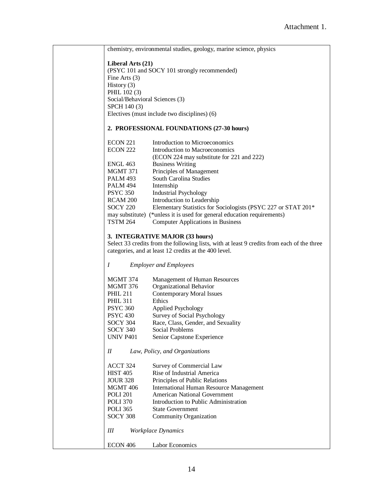| chemistry, environmental studies, geology, marine science, physics |                                                                                            |
|--------------------------------------------------------------------|--------------------------------------------------------------------------------------------|
|                                                                    |                                                                                            |
| Liberal Arts (21)                                                  |                                                                                            |
|                                                                    | (PSYC 101 and SOCY 101 strongly recommended)                                               |
| Fine Arts $(3)$                                                    |                                                                                            |
| History $(3)$                                                      |                                                                                            |
| PHIL 102 (3)                                                       |                                                                                            |
| Social/Behavioral Sciences (3)                                     |                                                                                            |
| SPCH 140 (3)                                                       |                                                                                            |
|                                                                    | Electives (must include two disciplines) (6)                                               |
| 2. PROFESSIONAL FOUNDATIONS (27-30 hours)                          |                                                                                            |
|                                                                    |                                                                                            |
| ECON 221                                                           | Introduction to Microeconomics                                                             |
| <b>ECON 222</b>                                                    | Introduction to Macroeconomics                                                             |
|                                                                    | (ECON 224 may substitute for 221 and 222)                                                  |
| ENGL 463                                                           | <b>Business Writing</b>                                                                    |
| MGMT 371                                                           | Principles of Management                                                                   |
| <b>PALM 493</b>                                                    | South Carolina Studies                                                                     |
| <b>PALM 494</b>                                                    | Internship                                                                                 |
| <b>PSYC 350</b>                                                    | <b>Industrial Psychology</b>                                                               |
| RCAM 200                                                           | Introduction to Leadership                                                                 |
| <b>SOCY 220</b>                                                    | Elementary Statistics for Sociologists (PSYC 227 or STAT 201*                              |
|                                                                    | may substitute) (*unless it is used for general education requirements)                    |
| <b>TSTM 264</b>                                                    | <b>Computer Applications in Business</b>                                                   |
| 3. INTEGRATIVE MAJOR (33 hours)                                    |                                                                                            |
|                                                                    | Select 33 credits from the following lists, with at least 9 credits from each of the three |
|                                                                    | categories, and at least 12 credits at the 400 level.                                      |
|                                                                    |                                                                                            |
| Ι                                                                  | <b>Employer and Employees</b>                                                              |
| MGMT 374                                                           | Management of Human Resources                                                              |
| MGMT 376                                                           | Organizational Behavior                                                                    |
| <b>PHIL 211</b>                                                    | <b>Contemporary Moral Issues</b>                                                           |
| <b>PHIL 311</b>                                                    | Ethics                                                                                     |
| <b>PSYC 360</b>                                                    | <b>Applied Psychology</b>                                                                  |
| <b>PSYC 430</b>                                                    | Survey of Social Psychology                                                                |
| <b>SOCY 304</b>                                                    | Race, Class, Gender, and Sexuality                                                         |
| <b>SOCY 340</b>                                                    | Social Problems                                                                            |
| <b>UNIV P401</b>                                                   | Senior Capstone Experience                                                                 |
|                                                                    |                                                                                            |
| Law, Policy, and Organizations<br>$I\!I$                           |                                                                                            |
| ACCT 324                                                           | Survey of Commercial Law                                                                   |
| <b>HIST 405</b>                                                    | Rise of Industrial America                                                                 |
| <b>JOUR 328</b>                                                    | Principles of Public Relations                                                             |
| <b>MGMT 406</b>                                                    | <b>International Human Resource Management</b>                                             |
| <b>POLI 201</b>                                                    | American National Government                                                               |
| <b>POLI 370</b>                                                    | Introduction to Public Administration                                                      |
| <b>POLI 365</b>                                                    | <b>State Government</b>                                                                    |
| SOCY 308                                                           | Community Organization                                                                     |
|                                                                    |                                                                                            |
| Ш                                                                  | <b>Workplace Dynamics</b>                                                                  |
|                                                                    |                                                                                            |
| ECON 406                                                           | Labor Economics                                                                            |